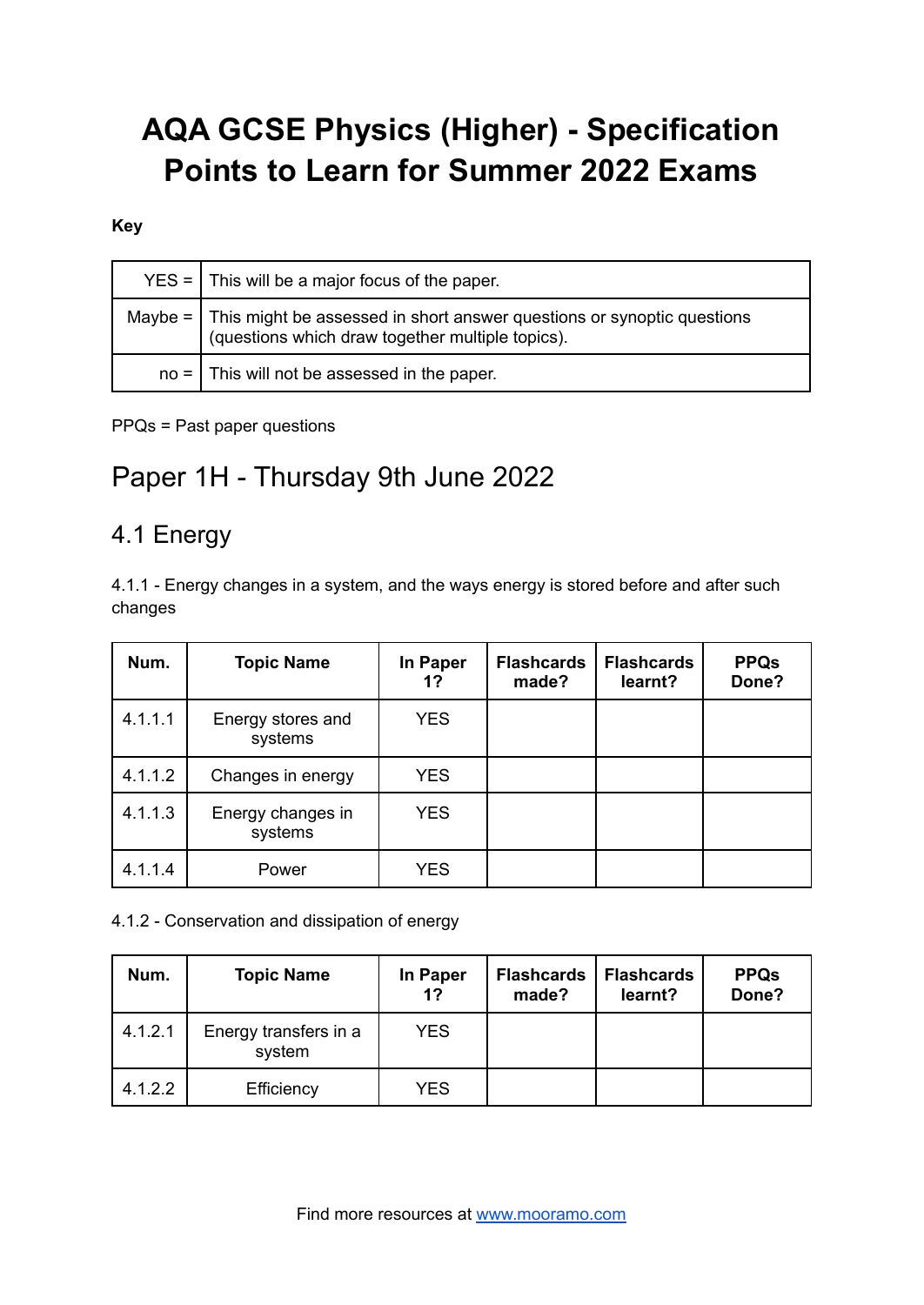# **AQA GCSE Physics (Higher) - Specification Points to Learn for Summer 2022 Exams**

#### **Key**

| $YES =$ This will be a major focus of the paper.                                                                                        |
|-----------------------------------------------------------------------------------------------------------------------------------------|
| Maybe = $\vert$ This might be assessed in short answer questions or synoptic questions (questions which draw together multiple topics). |
| $no =$ This will not be assessed in the paper.                                                                                          |

#### PPQs = Past paper questions

# Paper 1H - Thursday 9th June 2022

### 4.1 Energy

4.1.1 - Energy changes in a system, and the ways energy is stored before and after such changes

| Num.    | <b>Topic Name</b>            | In Paper<br>1? | <b>Flashcards</b><br>made? | <b>Flashcards</b><br>learnt? | <b>PPQs</b><br>Done? |
|---------|------------------------------|----------------|----------------------------|------------------------------|----------------------|
| 4.1.1.1 | Energy stores and<br>systems | <b>YES</b>     |                            |                              |                      |
| 4.1.1.2 | Changes in energy            | <b>YES</b>     |                            |                              |                      |
| 4.1.1.3 | Energy changes in<br>systems | <b>YES</b>     |                            |                              |                      |
| 4.1.1.4 | Power                        | <b>YES</b>     |                            |                              |                      |

#### 4.1.2 - Conservation and dissipation of energy

| Num.    | <b>Topic Name</b>               | In Paper<br>1? | <b>Flashcards</b><br>made? | <b>Flashcards</b><br>learnt? | <b>PPQs</b><br>Done? |
|---------|---------------------------------|----------------|----------------------------|------------------------------|----------------------|
| 4.1.2.1 | Energy transfers in a<br>system | <b>YES</b>     |                            |                              |                      |
| 4.1.2.2 | Efficiency                      | <b>YES</b>     |                            |                              |                      |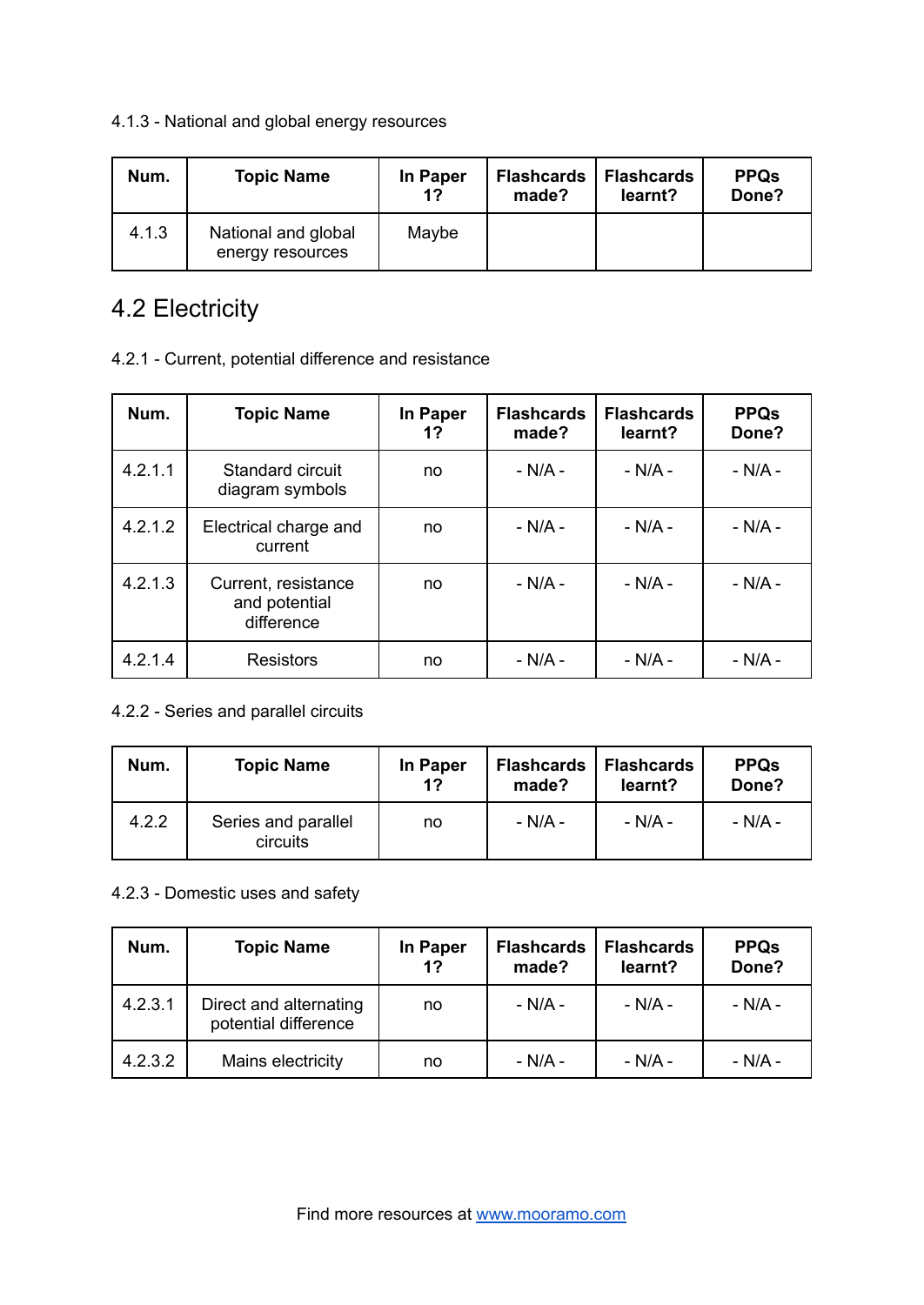#### 4.1.3 - National and global energy resources

| Num.  | <b>Topic Name</b>                       | In Paper<br>1? | <b>Flashcards</b><br>made? | <b>Flashcards</b><br>learnt? | <b>PPQs</b><br>Done? |
|-------|-----------------------------------------|----------------|----------------------------|------------------------------|----------------------|
| 4.1.3 | National and global<br>energy resources | Maybe          |                            |                              |                      |

## 4.2 Electricity

#### 4.2.1 - Current, potential difference and resistance

| Num.    | <b>Topic Name</b>                                  | In Paper<br>1? | <b>Flashcards</b><br>made? | <b>Flashcards</b><br>learnt? | <b>PPQs</b><br>Done? |
|---------|----------------------------------------------------|----------------|----------------------------|------------------------------|----------------------|
| 4.2.1.1 | Standard circuit<br>diagram symbols                | no             | $- N/A -$                  | $- N/A -$                    | $- N/A -$            |
| 4.2.1.2 | Electrical charge and<br>current                   | no             | - N/A -                    | $- N/A -$                    | $- N/A -$            |
| 4.2.1.3 | Current, resistance<br>and potential<br>difference | no             | $- N/A -$                  | $- N/A -$                    | $- N/A -$            |
| 4.2.1.4 | <b>Resistors</b>                                   | no             | $- N/A -$                  | $- N/A -$                    | $- N/A -$            |

#### 4.2.2 - Series and parallel circuits

| Num.  | <b>Topic Name</b>               | In Paper<br>1? | <b>Flashcards</b><br>made? | <b>Flashcards</b><br>learnt? | <b>PPQs</b><br>Done? |
|-------|---------------------------------|----------------|----------------------------|------------------------------|----------------------|
| 4.2.2 | Series and parallel<br>circuits | no             | - N/A -                    | - N/A -                      | - N/A -              |

#### 4.2.3 - Domestic uses and safety

| Num.    | <b>Topic Name</b>                              | In Paper<br>1? | <b>Flashcards</b><br>made? | <b>Flashcards</b><br>learnt? | <b>PPQs</b><br>Done? |
|---------|------------------------------------------------|----------------|----------------------------|------------------------------|----------------------|
| 4.2.3.1 | Direct and alternating<br>potential difference | no             | - N/A -                    | - N/A -                      | - N/A -              |
| 4.2.3.2 | Mains electricity                              | no             | $- N/A -$                  | - N/A -                      | - N/A -              |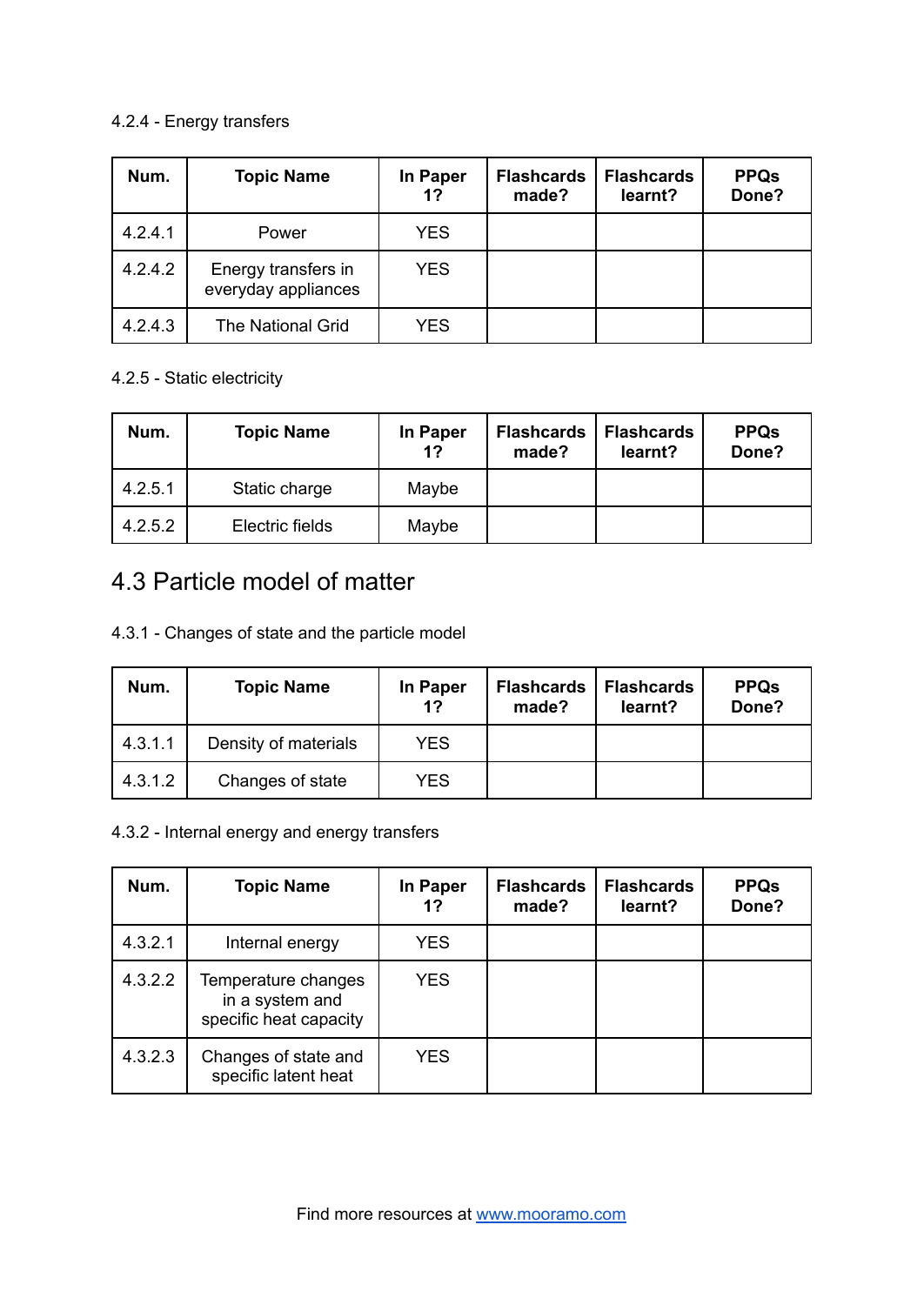#### 4.2.4 - Energy transfers

| Num.    | <b>Topic Name</b>                          | In Paper<br>1? | <b>Flashcards</b><br>made? | <b>Flashcards</b><br>learnt? | <b>PPQs</b><br>Done? |
|---------|--------------------------------------------|----------------|----------------------------|------------------------------|----------------------|
| 4.2.4.1 | Power                                      | <b>YES</b>     |                            |                              |                      |
| 4.2.4.2 | Energy transfers in<br>everyday appliances | <b>YES</b>     |                            |                              |                      |
| 4.2.4.3 | The National Grid                          | <b>YES</b>     |                            |                              |                      |

#### 4.2.5 - Static electricity

| Num.    | <b>Topic Name</b> | In Paper<br>1? | <b>Flashcards</b><br>made? | <b>Flashcards</b><br>learnt? | <b>PPQs</b><br>Done? |
|---------|-------------------|----------------|----------------------------|------------------------------|----------------------|
| 4.2.5.1 | Static charge     | Maybe          |                            |                              |                      |
| 4.2.5.2 | Electric fields   | Maybe          |                            |                              |                      |

## 4.3 Particle model of matter

4.3.1 - Changes of state and the particle model

| Num.    | <b>Topic Name</b>    | In Paper<br>1? | <b>Flashcards</b><br>made? | <b>Flashcards</b><br>learnt? | <b>PPQs</b><br>Done? |
|---------|----------------------|----------------|----------------------------|------------------------------|----------------------|
| 4.3.1.1 | Density of materials | <b>YES</b>     |                            |                              |                      |
| 4.3.1.2 | Changes of state     | YES            |                            |                              |                      |

#### 4.3.2 - Internal energy and energy transfers

| Num.    | <b>Topic Name</b>                                                | In Paper<br>1? | <b>Flashcards</b><br>made? | <b>Flashcards</b><br>learnt? | <b>PPQs</b><br>Done? |
|---------|------------------------------------------------------------------|----------------|----------------------------|------------------------------|----------------------|
| 4.3.2.1 | Internal energy                                                  | <b>YES</b>     |                            |                              |                      |
| 4.3.2.2 | Temperature changes<br>in a system and<br>specific heat capacity | <b>YES</b>     |                            |                              |                      |
| 4.3.2.3 | Changes of state and<br>specific latent heat                     | <b>YES</b>     |                            |                              |                      |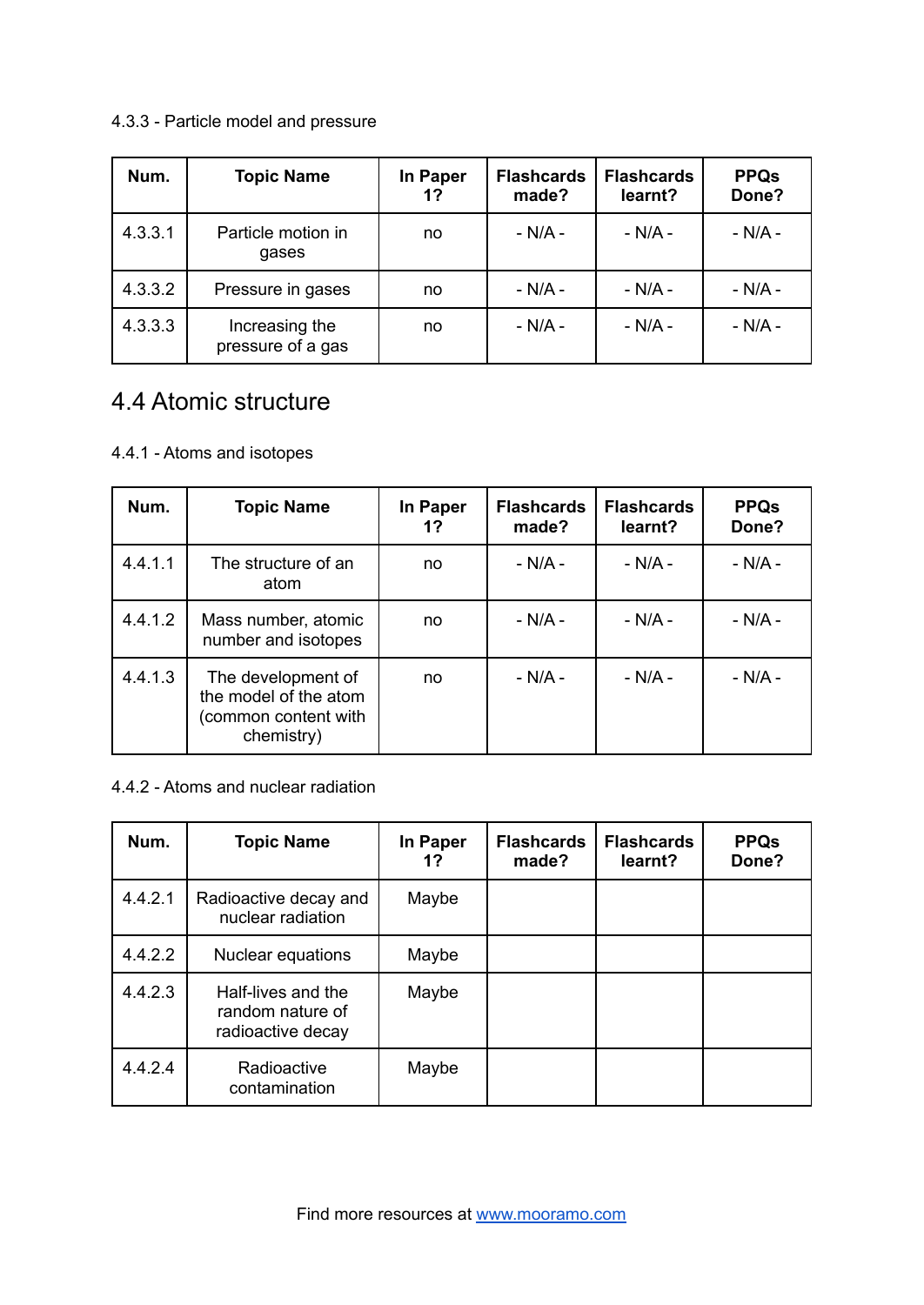#### 4.3.3 - Particle model and pressure

| Num.    | <b>Topic Name</b>                   | In Paper<br>1? | <b>Flashcards</b><br>made? | <b>Flashcards</b><br>learnt? | <b>PPQs</b><br>Done? |
|---------|-------------------------------------|----------------|----------------------------|------------------------------|----------------------|
| 4.3.3.1 | Particle motion in<br>gases         | no             | - N/A -                    | $- N/A -$                    | $- N/A -$            |
| 4.3.3.2 | Pressure in gases                   | no             | $- N/A -$                  | $- N/A -$                    | $- N/A -$            |
| 4.3.3.3 | Increasing the<br>pressure of a gas | no             | - N/A -                    | $- N/A -$                    | $- N/A -$            |

### 4.4 Atomic structure

#### 4.4.1 - Atoms and isotopes

| Num.    | <b>Topic Name</b>                                                                 | In Paper<br>1? | <b>Flashcards</b><br>made? | <b>Flashcards</b><br>learnt? | <b>PPQs</b><br>Done? |
|---------|-----------------------------------------------------------------------------------|----------------|----------------------------|------------------------------|----------------------|
| 4.4.1.1 | The structure of an<br>atom                                                       | no             | - N/A -                    | - N/A -                      | - N/A -              |
| 4.4.1.2 | Mass number, atomic<br>number and isotopes                                        | no             | - N/A -                    | $-N/A -$                     | - N/A -              |
| 4.4.1.3 | The development of<br>the model of the atom<br>(common content with<br>chemistry) | no             | $- N/A -$                  | $- N/A -$                    | $- N/A -$            |

#### 4.4.2 - Atoms and nuclear radiation

| Num.    | <b>Topic Name</b>                                           | In Paper<br>1? | <b>Flashcards</b><br>made? | <b>Flashcards</b><br>learnt? | <b>PPQs</b><br>Done? |
|---------|-------------------------------------------------------------|----------------|----------------------------|------------------------------|----------------------|
| 4.4.2.1 | Radioactive decay and<br>nuclear radiation                  | Maybe          |                            |                              |                      |
| 4.4.2.2 | Nuclear equations                                           | Maybe          |                            |                              |                      |
| 4.4.2.3 | Half-lives and the<br>random nature of<br>radioactive decay | Maybe          |                            |                              |                      |
| 4.4.2.4 | Radioactive<br>contamination                                | Maybe          |                            |                              |                      |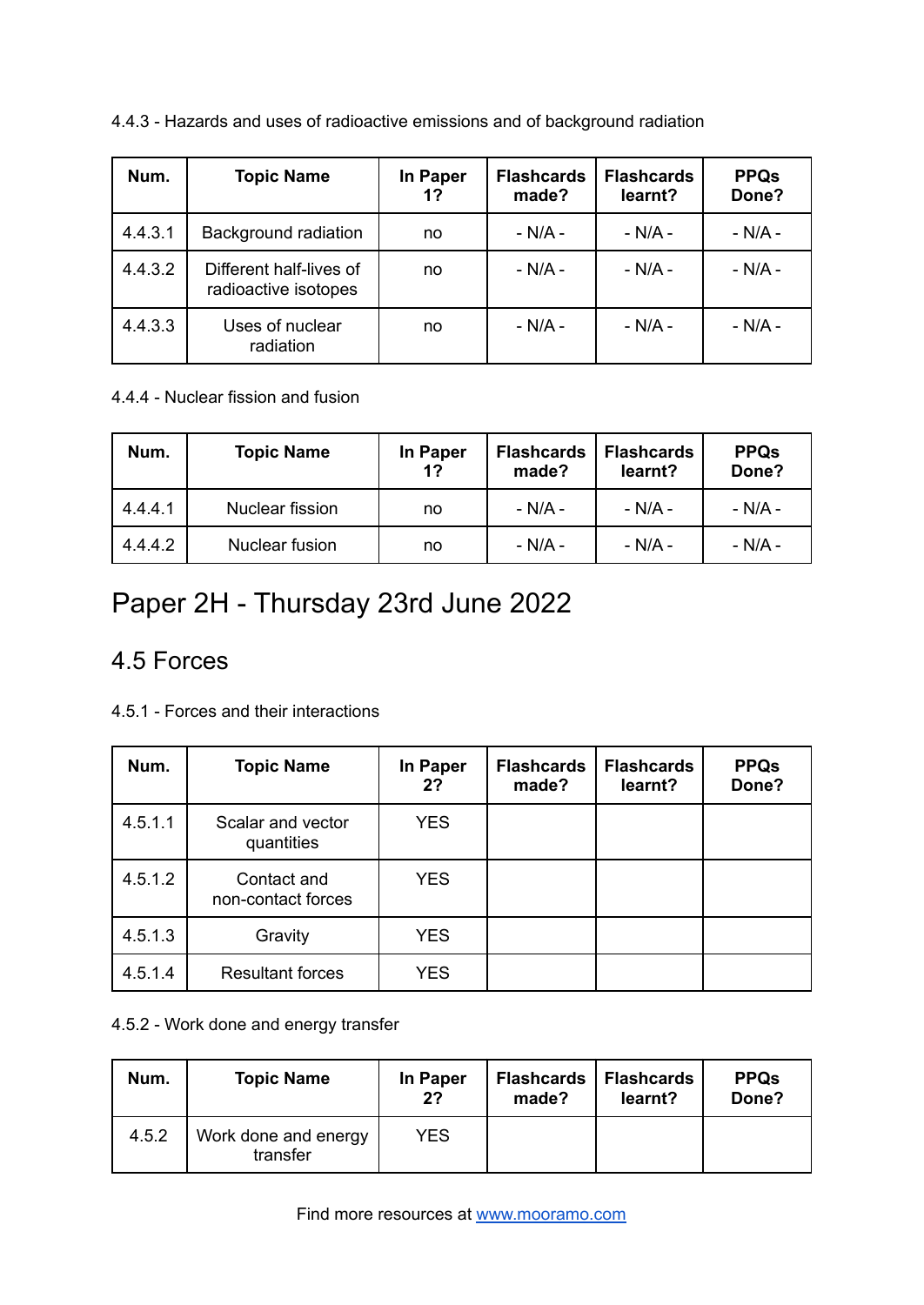| Num.    | <b>Topic Name</b>                               | In Paper<br>1? | <b>Flashcards</b><br>made? | <b>Flashcards</b><br>learnt? | <b>PPQs</b><br>Done? |
|---------|-------------------------------------------------|----------------|----------------------------|------------------------------|----------------------|
| 4.4.3.1 | Background radiation                            | no             | $- N/A -$                  | $- N/A -$                    | $- N/A -$            |
| 4.4.3.2 | Different half-lives of<br>radioactive isotopes | no             | - N/A -                    | $- N/A -$                    | $- N/A -$            |
| 4.4.3.3 | Uses of nuclear<br>radiation                    | no             | - N/A -                    | $- N/A -$                    | - N/A -              |

4.4.3 - Hazards and uses of radioactive emissions and of background radiation

4.4.4 - Nuclear fission and fusion

| Num.    | <b>Topic Name</b> | In Paper<br>1? | <b>Flashcards</b><br>made? | <b>Flashcards</b><br>learnt? | <b>PPQs</b><br>Done? |
|---------|-------------------|----------------|----------------------------|------------------------------|----------------------|
| 4.4.4.1 | Nuclear fission   | no             | - N/A -                    | - N/A -                      | - N/A -              |
| 4.4.4.2 | Nuclear fusion    | no             | - N/A -                    | - N/A -                      | $- N/A -$            |

# Paper 2H - Thursday 23rd June 2022

### 4.5 Forces

| 4.5.1 - Forces and their interactions |  |
|---------------------------------------|--|
|---------------------------------------|--|

| Num.    | <b>Topic Name</b>                 | In Paper<br>2? | <b>Flashcards</b><br>made? | <b>Flashcards</b><br>learnt? | <b>PPQs</b><br>Done? |
|---------|-----------------------------------|----------------|----------------------------|------------------------------|----------------------|
| 4.5.1.1 | Scalar and vector<br>quantities   | <b>YES</b>     |                            |                              |                      |
| 4.5.1.2 | Contact and<br>non-contact forces | <b>YES</b>     |                            |                              |                      |
| 4.5.1.3 | Gravity                           | <b>YES</b>     |                            |                              |                      |
| 4.5.1.4 | <b>Resultant forces</b>           | <b>YES</b>     |                            |                              |                      |

#### 4.5.2 - Work done and energy transfer

| Num.  | <b>Topic Name</b>                | In Paper<br>2? | <b>Flashcards</b><br>made? | Flashcards<br>learnt? | <b>PPQs</b><br>Done? |
|-------|----------------------------------|----------------|----------------------------|-----------------------|----------------------|
| 4.5.2 | Work done and energy<br>transfer | YES            |                            |                       |                      |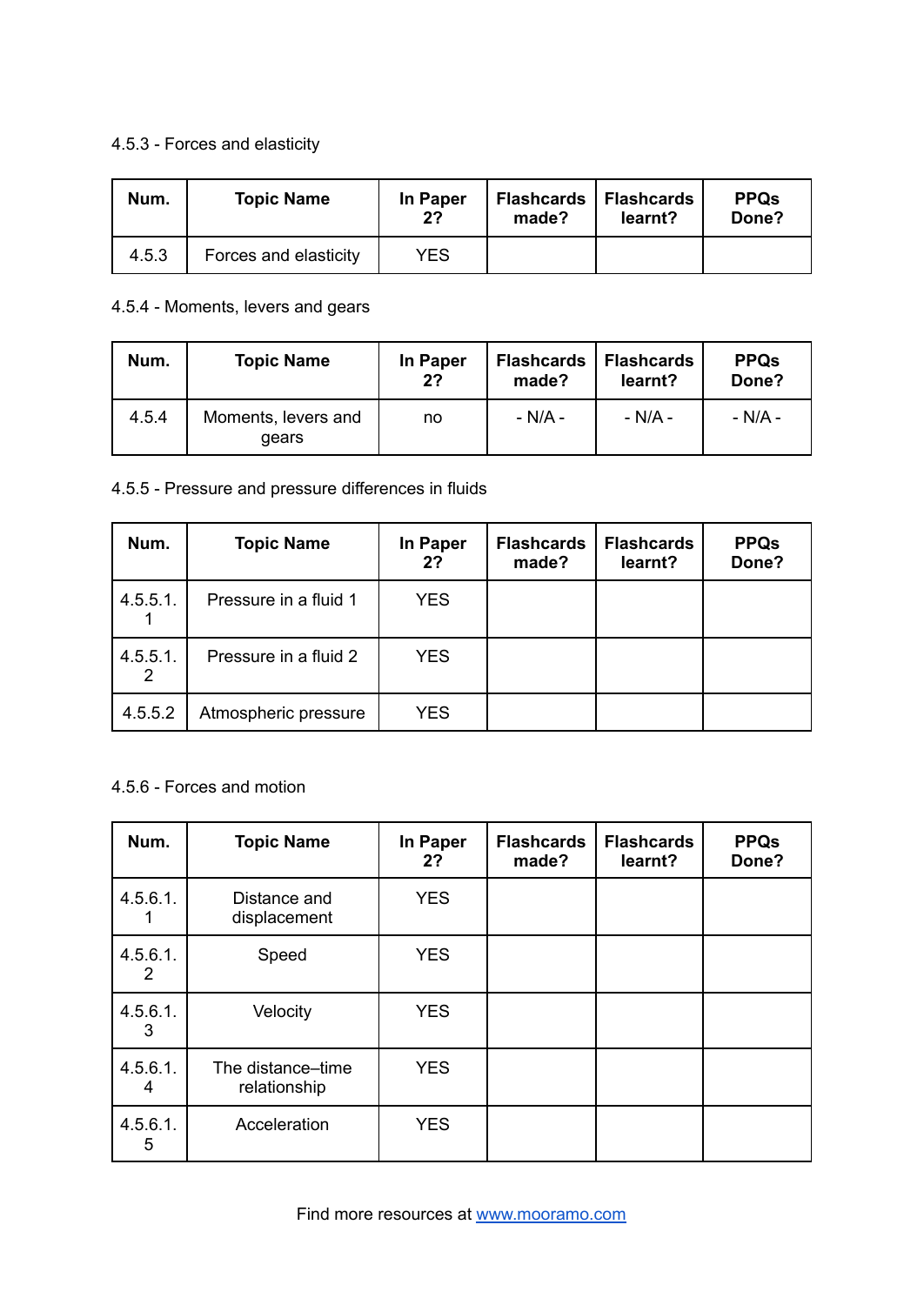#### 4.5.3 - Forces and elasticity

| Num.  | <b>Topic Name</b>     | In Paper<br>2? | <b>Flashcards</b><br>made? | <b>Flashcards</b><br>learnt? | <b>PPQs</b><br>Done? |
|-------|-----------------------|----------------|----------------------------|------------------------------|----------------------|
| 4.5.3 | Forces and elasticity | YES            |                            |                              |                      |

#### 4.5.4 - Moments, levers and gears

| Num.  | <b>Topic Name</b>            | In Paper<br>2 <sup>2</sup> | <b>Flashcards</b><br>made? | <b>Flashcards</b><br>learnt? | <b>PPQs</b><br>Done? |
|-------|------------------------------|----------------------------|----------------------------|------------------------------|----------------------|
| 4.5.4 | Moments, levers and<br>gears | no                         | - N/A -                    | - N/A -                      | - N/A -              |

#### 4.5.5 - Pressure and pressure differences in fluids

| Num.             | <b>Topic Name</b>     | In Paper<br>2? | <b>Flashcards</b><br>made? | <b>Flashcards</b><br>learnt? | <b>PPQs</b><br>Done? |
|------------------|-----------------------|----------------|----------------------------|------------------------------|----------------------|
| $4.5.5.1$ .      | Pressure in a fluid 1 | <b>YES</b>     |                            |                              |                      |
| $4.5.5.1$ .<br>2 | Pressure in a fluid 2 | <b>YES</b>     |                            |                              |                      |
| 4.5.5.2          | Atmospheric pressure  | <b>YES</b>     |                            |                              |                      |

#### 4.5.6 - Forces and motion

| Num.             | <b>Topic Name</b>                 | In Paper<br>2? | <b>Flashcards</b><br>made? | <b>Flashcards</b><br>learnt? | <b>PPQs</b><br>Done? |
|------------------|-----------------------------------|----------------|----------------------------|------------------------------|----------------------|
| $4.5.6.1$ .      | Distance and<br>displacement      | <b>YES</b>     |                            |                              |                      |
| 4.5.6.1.<br>2    | Speed                             | <b>YES</b>     |                            |                              |                      |
| $4.5.6.1$ .<br>3 | Velocity                          | <b>YES</b>     |                            |                              |                      |
| 4.5.6.1.<br>4    | The distance-time<br>relationship | <b>YES</b>     |                            |                              |                      |
| $4.5.6.1$ .<br>5 | Acceleration                      | <b>YES</b>     |                            |                              |                      |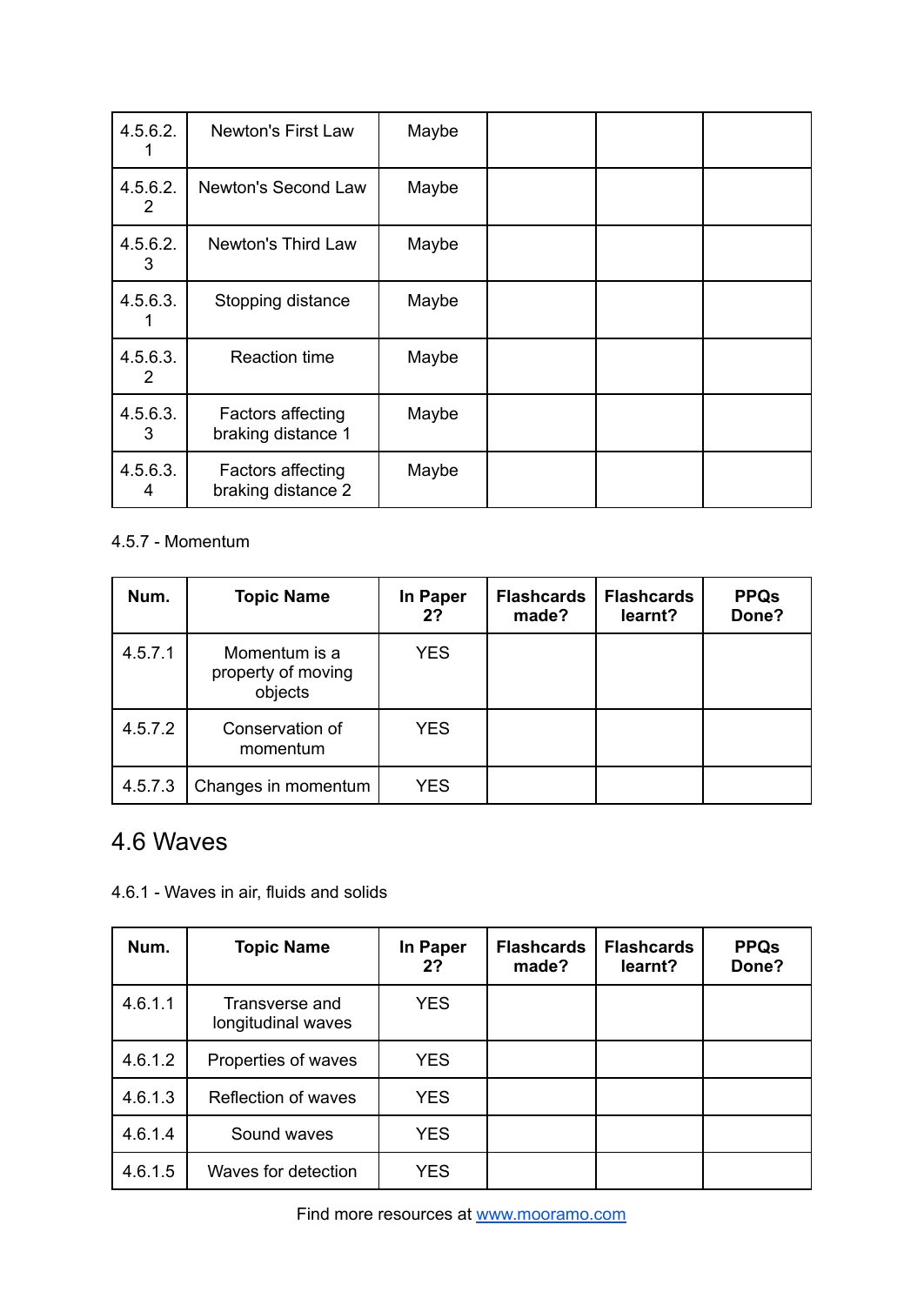| 4.5.6.2.      | <b>Newton's First Law</b>               | Maybe |  |  |
|---------------|-----------------------------------------|-------|--|--|
| 4.5.6.2.<br>2 | Newton's Second Law                     | Maybe |  |  |
| 4.5.6.2.<br>3 | Newton's Third Law                      | Maybe |  |  |
| 4.5.6.3.      | Stopping distance                       | Maybe |  |  |
| 4.5.6.3.<br>2 | <b>Reaction time</b>                    | Maybe |  |  |
| 4.5.6.3.<br>3 | Factors affecting<br>braking distance 1 | Maybe |  |  |
| 4.5.6.3.<br>4 | Factors affecting<br>braking distance 2 | Maybe |  |  |

#### 4.5.7 - Momentum

| Num.    | <b>Topic Name</b>                              | In Paper<br>2? | <b>Flashcards</b><br>made? | <b>Flashcards</b><br>learnt? | <b>PPQs</b><br>Done? |
|---------|------------------------------------------------|----------------|----------------------------|------------------------------|----------------------|
| 4.5.7.1 | Momentum is a<br>property of moving<br>objects | <b>YES</b>     |                            |                              |                      |
| 4.5.7.2 | Conservation of<br>momentum                    | <b>YES</b>     |                            |                              |                      |
| 4.5.7.3 | Changes in momentum                            | <b>YES</b>     |                            |                              |                      |

### 4.6 Waves

4.6.1 - Waves in air, fluids and solids

| Num.    | <b>Topic Name</b>                    | In Paper<br>2? | <b>Flashcards</b><br>made? | <b>Flashcards</b><br>learnt? | <b>PPQs</b><br>Done? |
|---------|--------------------------------------|----------------|----------------------------|------------------------------|----------------------|
| 4.6.1.1 | Transverse and<br>longitudinal waves | <b>YES</b>     |                            |                              |                      |
| 4.6.1.2 | Properties of waves                  | <b>YES</b>     |                            |                              |                      |
| 4.6.1.3 | Reflection of waves                  | <b>YES</b>     |                            |                              |                      |
| 4.6.1.4 | Sound waves                          | <b>YES</b>     |                            |                              |                      |
| 4.6.1.5 | Waves for detection                  | <b>YES</b>     |                            |                              |                      |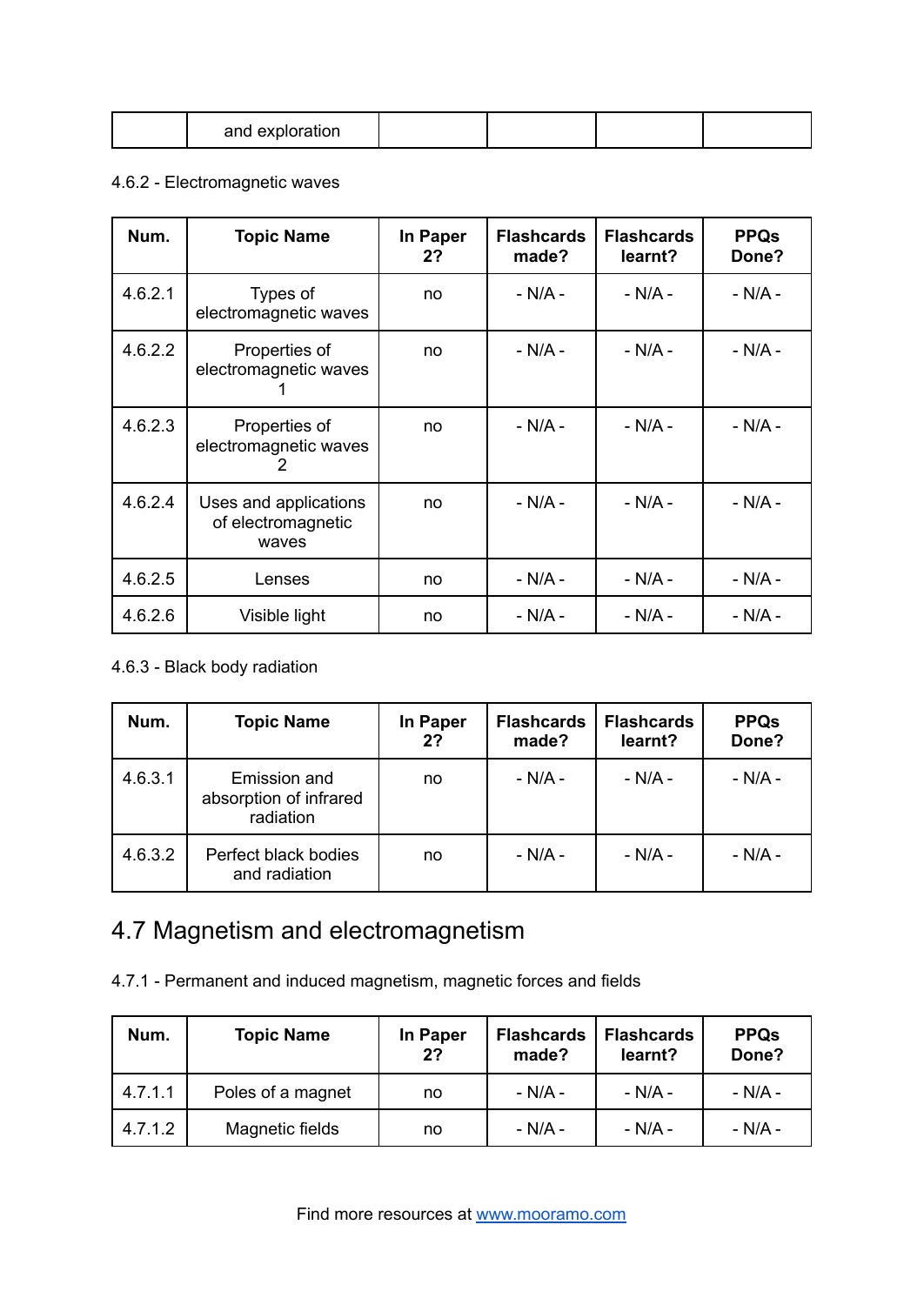#### 4.6.2 - Electromagnetic waves

| Num.    | <b>Topic Name</b>                                    | In Paper<br>2? | <b>Flashcards</b><br>made? | <b>Flashcards</b><br>learnt? | <b>PPQs</b><br>Done? |
|---------|------------------------------------------------------|----------------|----------------------------|------------------------------|----------------------|
| 4.6.2.1 | Types of<br>electromagnetic waves                    | no             | $- N/A -$                  | $- N/A -$                    | $- N/A -$            |
| 4.6.2.2 | Properties of<br>electromagnetic waves               | no             | - N/A -                    | - N/A -                      | - N/A -              |
| 4.6.2.3 | Properties of<br>electromagnetic waves<br>2          | no             | $- N/A -$                  | $- N/A -$                    | $- N/A -$            |
| 4.6.2.4 | Uses and applications<br>of electromagnetic<br>waves | no             | - N/A -                    | $- N/A -$                    | $- N/A -$            |
| 4.6.2.5 | Lenses                                               | no             | $- N/A -$                  | $- N/A -$                    | $- N/A -$            |
| 4.6.2.6 | Visible light                                        | no             | $- N/A -$                  | $- N/A -$                    | $- N/A -$            |

#### 4.6.3 - Black body radiation

| Num.    | <b>Topic Name</b>                                   | In Paper<br>2? | <b>Flashcards</b><br>made? | <b>Flashcards</b><br>learnt? | <b>PPQs</b><br>Done? |
|---------|-----------------------------------------------------|----------------|----------------------------|------------------------------|----------------------|
| 4.6.3.1 | Emission and<br>absorption of infrared<br>radiation | no             | $- N/A -$                  | $-N/A -$                     | - N/A -              |
| 4.6.3.2 | Perfect black bodies<br>and radiation               | no             | $- N/A -$                  | $- N/A -$                    | $- N/A -$            |

# 4.7 Magnetism and electromagnetism

4.7.1 - Permanent and induced magnetism, magnetic forces and fields

| Num.    | <b>Topic Name</b> | In Paper<br>2? | <b>Flashcards</b><br>made? | <b>Flashcards</b><br>learnt? | <b>PPQs</b><br>Done? |
|---------|-------------------|----------------|----------------------------|------------------------------|----------------------|
| 4.7.1.1 | Poles of a magnet | no             | - N/A -                    | - N/A -                      | - N/A -              |
| 4.7.1.2 | Magnetic fields   | no             | - N/A -                    | - N/A -                      | - N/A -              |